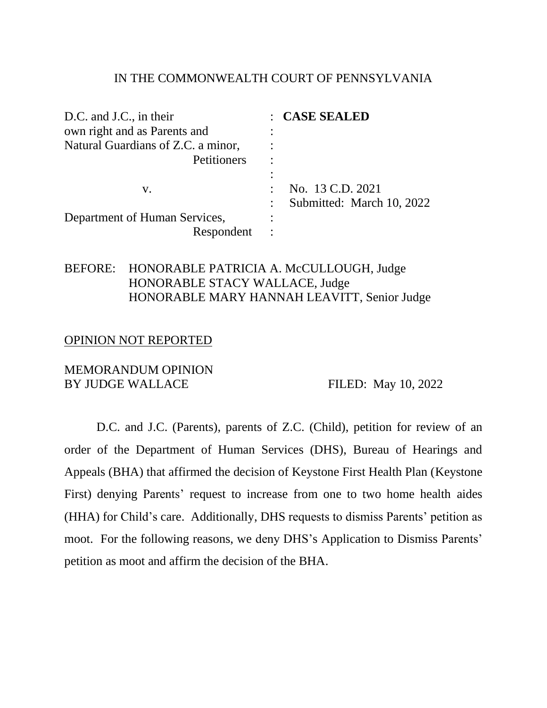### IN THE COMMONWEALTH COURT OF PENNSYLVANIA

| D.C. and J.C., in their            | : CASE SEALED             |
|------------------------------------|---------------------------|
| own right and as Parents and       |                           |
| Natural Guardians of Z.C. a minor, |                           |
| Petitioners                        |                           |
|                                    |                           |
| V.                                 | No. 13 C.D. 2021          |
|                                    | Submitted: March 10, 2022 |
| Department of Human Services,      |                           |
| Respondent                         |                           |

## BEFORE: HONORABLE PATRICIA A. McCULLOUGH, Judge HONORABLE STACY WALLACE, Judge HONORABLE MARY HANNAH LEAVITT, Senior Judge

### OPINION NOT REPORTED

### MEMORANDUM OPINION BY JUDGE WALLACE FILED: May 10, 2022

D.C. and J.C. (Parents), parents of Z.C. (Child), petition for review of an order of the Department of Human Services (DHS), Bureau of Hearings and Appeals (BHA) that affirmed the decision of Keystone First Health Plan (Keystone First) denying Parents' request to increase from one to two home health aides (HHA) for Child's care. Additionally, DHS requests to dismiss Parents' petition as moot. For the following reasons, we deny DHS's Application to Dismiss Parents' petition as moot and affirm the decision of the BHA.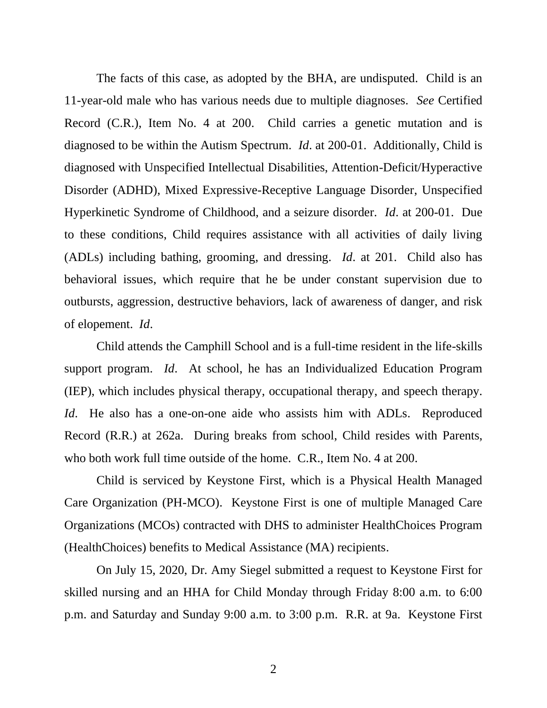The facts of this case, as adopted by the BHA, are undisputed. Child is an 11-year-old male who has various needs due to multiple diagnoses. *See* Certified Record (C.R.), Item No. 4 at 200. Child carries a genetic mutation and is diagnosed to be within the Autism Spectrum. *Id*. at 200-01. Additionally, Child is diagnosed with Unspecified Intellectual Disabilities, Attention-Deficit/Hyperactive Disorder (ADHD), Mixed Expressive-Receptive Language Disorder, Unspecified Hyperkinetic Syndrome of Childhood, and a seizure disorder. *Id*. at 200-01. Due to these conditions, Child requires assistance with all activities of daily living (ADLs) including bathing, grooming, and dressing. *Id*. at 201. Child also has behavioral issues, which require that he be under constant supervision due to outbursts, aggression, destructive behaviors, lack of awareness of danger, and risk of elopement. *Id*.

Child attends the Camphill School and is a full-time resident in the life-skills support program. *Id*. At school, he has an Individualized Education Program (IEP), which includes physical therapy, occupational therapy, and speech therapy. *Id*. He also has a one-on-one aide who assists him with ADLs. Reproduced Record (R.R.) at 262a. During breaks from school, Child resides with Parents, who both work full time outside of the home. C.R., Item No. 4 at 200.

Child is serviced by Keystone First, which is a Physical Health Managed Care Organization (PH-MCO). Keystone First is one of multiple Managed Care Organizations (MCOs) contracted with DHS to administer HealthChoices Program (HealthChoices) benefits to Medical Assistance (MA) recipients.

On July 15, 2020, Dr. Amy Siegel submitted a request to Keystone First for skilled nursing and an HHA for Child Monday through Friday 8:00 a.m. to 6:00 p.m. and Saturday and Sunday 9:00 a.m. to 3:00 p.m. R.R. at 9a. Keystone First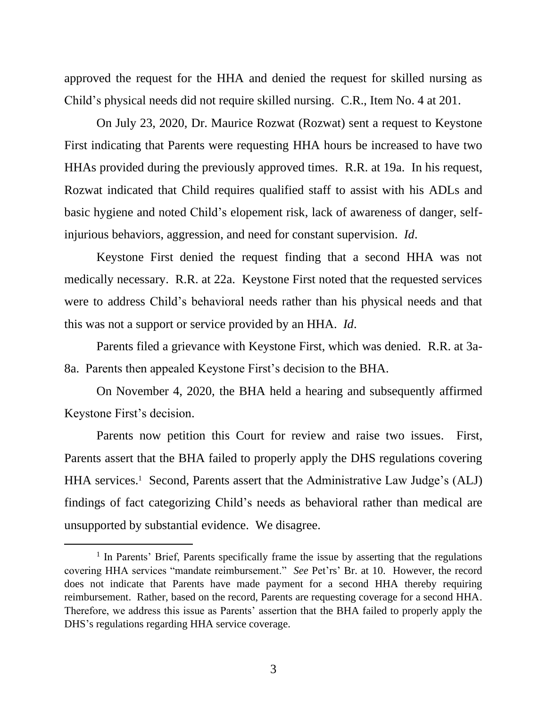approved the request for the HHA and denied the request for skilled nursing as Child's physical needs did not require skilled nursing. C.R., Item No. 4 at 201.

On July 23, 2020, Dr. Maurice Rozwat (Rozwat) sent a request to Keystone First indicating that Parents were requesting HHA hours be increased to have two HHAs provided during the previously approved times. R.R. at 19a. In his request, Rozwat indicated that Child requires qualified staff to assist with his ADLs and basic hygiene and noted Child's elopement risk, lack of awareness of danger, selfinjurious behaviors, aggression, and need for constant supervision. *Id*.

Keystone First denied the request finding that a second HHA was not medically necessary. R.R. at 22a. Keystone First noted that the requested services were to address Child's behavioral needs rather than his physical needs and that this was not a support or service provided by an HHA. *Id*.

Parents filed a grievance with Keystone First, which was denied. R.R. at 3a-8a. Parents then appealed Keystone First's decision to the BHA.

On November 4, 2020, the BHA held a hearing and subsequently affirmed Keystone First's decision.

Parents now petition this Court for review and raise two issues. First, Parents assert that the BHA failed to properly apply the DHS regulations covering HHA services.<sup>1</sup> Second, Parents assert that the Administrative Law Judge's (ALJ) findings of fact categorizing Child's needs as behavioral rather than medical are unsupported by substantial evidence. We disagree.

<sup>&</sup>lt;sup>1</sup> In Parents' Brief, Parents specifically frame the issue by asserting that the regulations covering HHA services "mandate reimbursement." *See* Pet'rs' Br. at 10. However, the record does not indicate that Parents have made payment for a second HHA thereby requiring reimbursement. Rather, based on the record, Parents are requesting coverage for a second HHA. Therefore, we address this issue as Parents' assertion that the BHA failed to properly apply the DHS's regulations regarding HHA service coverage.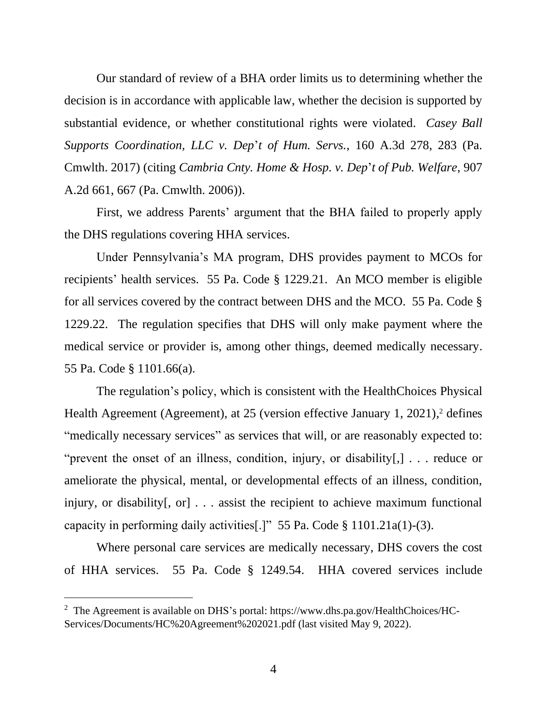Our standard of review of a BHA order limits us to determining whether the decision is in accordance with applicable law, whether the decision is supported by substantial evidence, or whether constitutional rights were violated. *Casey Ball Supports Coordination, LLC v. Dep*'*t of Hum. Servs.*, 160 A.3d 278, 283 (Pa. Cmwlth. 2017) (citing *Cambria Cnty. Home & Hosp. v. Dep*'*t of Pub. Welfare*, 907 A.2d 661, 667 (Pa. Cmwlth. 2006)).

First, we address Parents' argument that the BHA failed to properly apply the DHS regulations covering HHA services.

Under Pennsylvania's MA program, DHS provides payment to MCOs for recipients' health services. 55 Pa. Code § 1229.21. An MCO member is eligible for all services covered by the contract between DHS and the MCO. 55 Pa. Code § 1229.22. The regulation specifies that DHS will only make payment where the medical service or provider is, among other things, deemed medically necessary. 55 Pa. Code § 1101.66(a).

The regulation's policy, which is consistent with the HealthChoices Physical Health Agreement (Agreement), at 25 (version effective January 1, 2021),<sup>2</sup> defines "medically necessary services" as services that will, or are reasonably expected to: "prevent the onset of an illness, condition, injury, or disability[,] . . . reduce or ameliorate the physical, mental, or developmental effects of an illness, condition, injury, or disability[, or] . . . assist the recipient to achieve maximum functional capacity in performing daily activities[.]" 55 Pa. Code § 1101.21a(1)-(3).

Where personal care services are medically necessary, DHS covers the cost of HHA services. 55 Pa. Code § 1249.54. HHA covered services include

<sup>&</sup>lt;sup>2</sup> The Agreement is available on DHS's portal: https://www.dhs.pa.gov/HealthChoices/HC-Services/Documents/HC%20Agreement%202021.pdf (last visited May 9, 2022).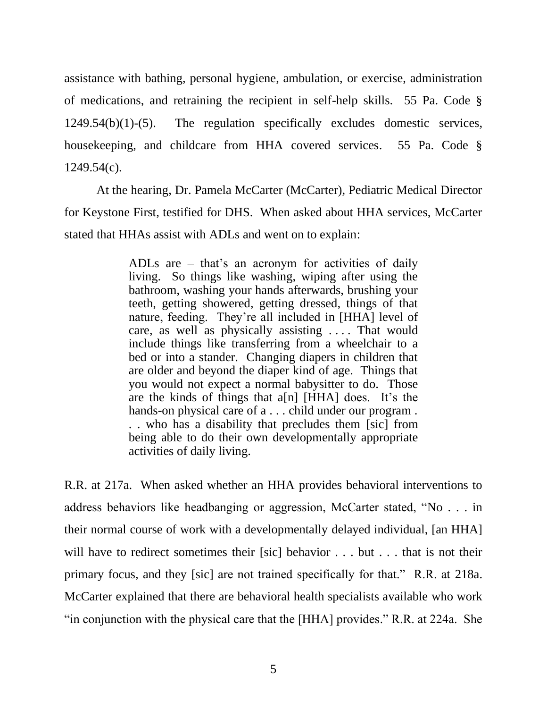assistance with bathing, personal hygiene, ambulation, or exercise, administration of medications, and retraining the recipient in self-help skills. 55 Pa. Code § 1249.54(b)(1)-(5). The regulation specifically excludes domestic services, housekeeping, and childcare from HHA covered services. 55 Pa. Code § 1249.54(c).

At the hearing, Dr. Pamela McCarter (McCarter), Pediatric Medical Director for Keystone First, testified for DHS. When asked about HHA services, McCarter stated that HHAs assist with ADLs and went on to explain:

> ADLs are – that's an acronym for activities of daily living. So things like washing, wiping after using the bathroom, washing your hands afterwards, brushing your teeth, getting showered, getting dressed, things of that nature, feeding. They're all included in [HHA] level of care, as well as physically assisting . . . . That would include things like transferring from a wheelchair to a bed or into a stander. Changing diapers in children that are older and beyond the diaper kind of age. Things that you would not expect a normal babysitter to do. Those are the kinds of things that a[n] [HHA] does. It's the hands-on physical care of a . . . child under our program . . . who has a disability that precludes them [sic] from being able to do their own developmentally appropriate activities of daily living.

R.R. at 217a. When asked whether an HHA provides behavioral interventions to address behaviors like headbanging or aggression, McCarter stated, "No . . . in their normal course of work with a developmentally delayed individual, [an HHA] will have to redirect sometimes their [sic] behavior . . . but . . . that is not their primary focus, and they [sic] are not trained specifically for that." R.R. at 218a. McCarter explained that there are behavioral health specialists available who work "in conjunction with the physical care that the [HHA] provides." R.R. at 224a. She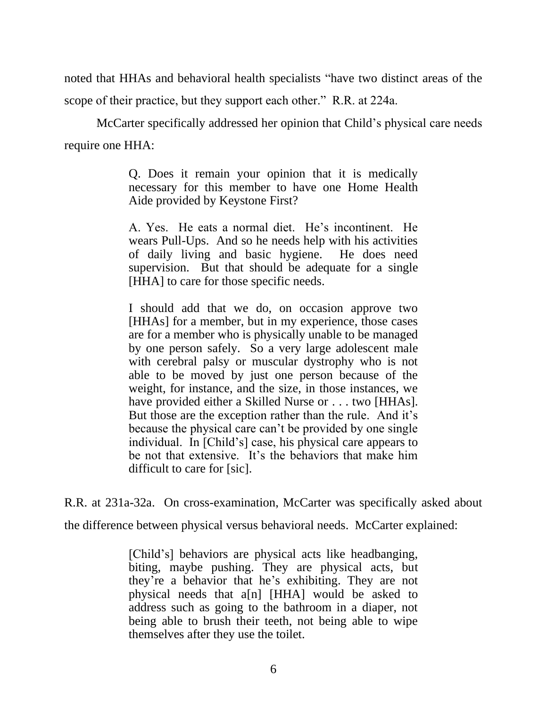noted that HHAs and behavioral health specialists "have two distinct areas of the scope of their practice, but they support each other." R.R. at 224a.

McCarter specifically addressed her opinion that Child's physical care needs require one HHA:

> Q. Does it remain your opinion that it is medically necessary for this member to have one Home Health Aide provided by Keystone First?

> A. Yes. He eats a normal diet. He's incontinent. He wears Pull-Ups. And so he needs help with his activities of daily living and basic hygiene. He does need supervision. But that should be adequate for a single [HHA] to care for those specific needs.

> I should add that we do, on occasion approve two [HHAs] for a member, but in my experience, those cases are for a member who is physically unable to be managed by one person safely. So a very large adolescent male with cerebral palsy or muscular dystrophy who is not able to be moved by just one person because of the weight, for instance, and the size, in those instances, we have provided either a Skilled Nurse or . . . two [HHAs]. But those are the exception rather than the rule. And it's because the physical care can't be provided by one single individual. In [Child's] case, his physical care appears to be not that extensive. It's the behaviors that make him difficult to care for [sic].

R.R. at 231a-32a. On cross-examination, McCarter was specifically asked about

the difference between physical versus behavioral needs. McCarter explained:

[Child's] behaviors are physical acts like headbanging, biting, maybe pushing. They are physical acts, but they're a behavior that he's exhibiting. They are not physical needs that a[n] [HHA] would be asked to address such as going to the bathroom in a diaper, not being able to brush their teeth, not being able to wipe themselves after they use the toilet.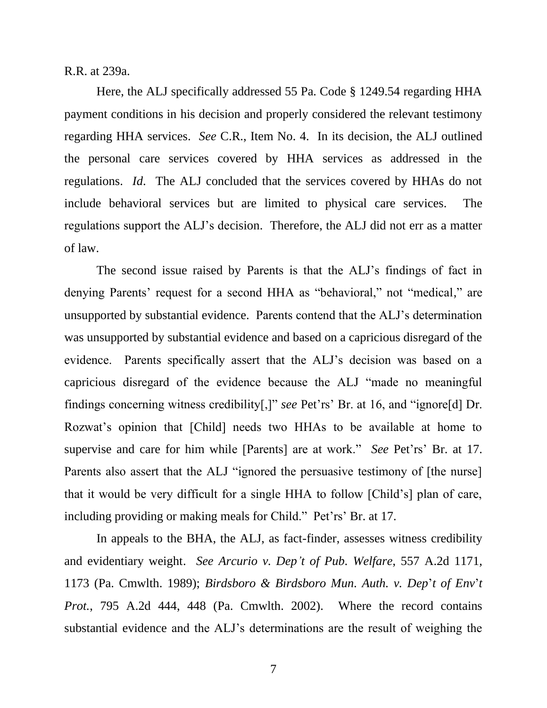R.R. at 239a.

Here, the ALJ specifically addressed 55 Pa. Code § 1249.54 regarding HHA payment conditions in his decision and properly considered the relevant testimony regarding HHA services. *See* C.R., Item No. 4. In its decision, the ALJ outlined the personal care services covered by HHA services as addressed in the regulations. *Id*. The ALJ concluded that the services covered by HHAs do not include behavioral services but are limited to physical care services. The regulations support the ALJ's decision. Therefore, the ALJ did not err as a matter of law.

The second issue raised by Parents is that the ALJ's findings of fact in denying Parents' request for a second HHA as "behavioral," not "medical," are unsupported by substantial evidence. Parents contend that the ALJ's determination was unsupported by substantial evidence and based on a capricious disregard of the evidence. Parents specifically assert that the ALJ's decision was based on a capricious disregard of the evidence because the ALJ "made no meaningful findings concerning witness credibility[,]" *see* Pet'rs' Br. at 16, and "ignore[d] Dr. Rozwat's opinion that [Child] needs two HHAs to be available at home to supervise and care for him while [Parents] are at work." *See* Pet'rs' Br. at 17. Parents also assert that the ALJ "ignored the persuasive testimony of [the nurse] that it would be very difficult for a single HHA to follow [Child's] plan of care, including providing or making meals for Child." Pet'rs' Br. at 17.

In appeals to the BHA, the ALJ, as fact-finder, assesses witness credibility and evidentiary weight. *See Arcurio v. Dep't of Pub. Welfare*, 557 A.2d 1171, 1173 (Pa. Cmwlth. 1989); *Birdsboro & Birdsboro Mun. Auth. v. Dep*'*t of Env*'*t Prot.*, 795 A.2d 444, 448 (Pa. Cmwlth. 2002). Where the record contains substantial evidence and the ALJ's determinations are the result of weighing the

7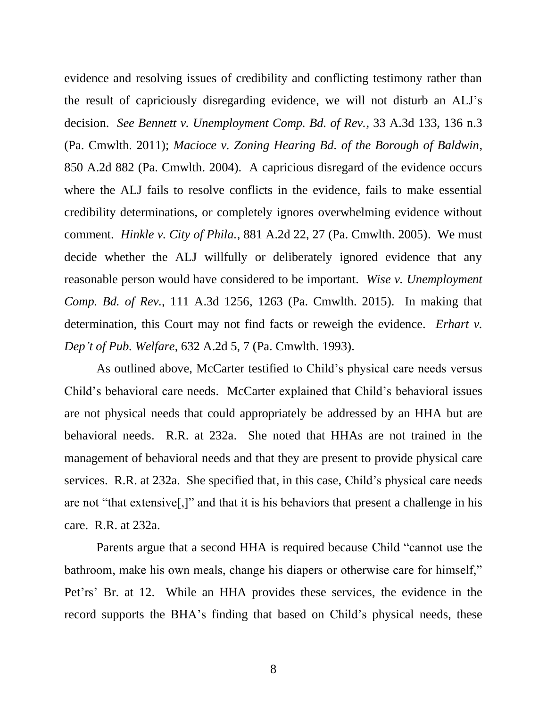evidence and resolving issues of credibility and conflicting testimony rather than the result of capriciously disregarding evidence, we will not disturb an ALJ's decision. *See Bennett v. Unemployment Comp. Bd. of Rev.*, 33 A.3d 133, 136 n.3 (Pa. Cmwlth. 2011); *Macioce v. Zoning Hearing Bd. of the Borough of Baldwin*, 850 A.2d 882 (Pa. Cmwlth. 2004). A capricious disregard of the evidence occurs where the ALJ fails to resolve conflicts in the evidence, fails to make essential credibility determinations, or completely ignores overwhelming evidence without comment. *Hinkle v. City of Phila.*, 881 A.2d 22, 27 (Pa. Cmwlth. 2005). We must decide whether the ALJ willfully or deliberately ignored evidence that any reasonable person would have considered to be important. *Wise v. Unemployment Comp. Bd. of Rev.,* 111 A.3d 1256, 1263 (Pa. Cmwlth. 2015). In making that determination, this Court may not find facts or reweigh the evidence. *Erhart v. Dep't of Pub. Welfare*, 632 A.2d 5, 7 (Pa. Cmwlth. 1993).

As outlined above, McCarter testified to Child's physical care needs versus Child's behavioral care needs. McCarter explained that Child's behavioral issues are not physical needs that could appropriately be addressed by an HHA but are behavioral needs. R.R. at 232a. She noted that HHAs are not trained in the management of behavioral needs and that they are present to provide physical care services. R.R. at 232a. She specified that, in this case, Child's physical care needs are not "that extensive[,]" and that it is his behaviors that present a challenge in his care. R.R. at 232a.

Parents argue that a second HHA is required because Child "cannot use the bathroom, make his own meals, change his diapers or otherwise care for himself," Pet'rs' Br. at 12. While an HHA provides these services, the evidence in the record supports the BHA's finding that based on Child's physical needs, these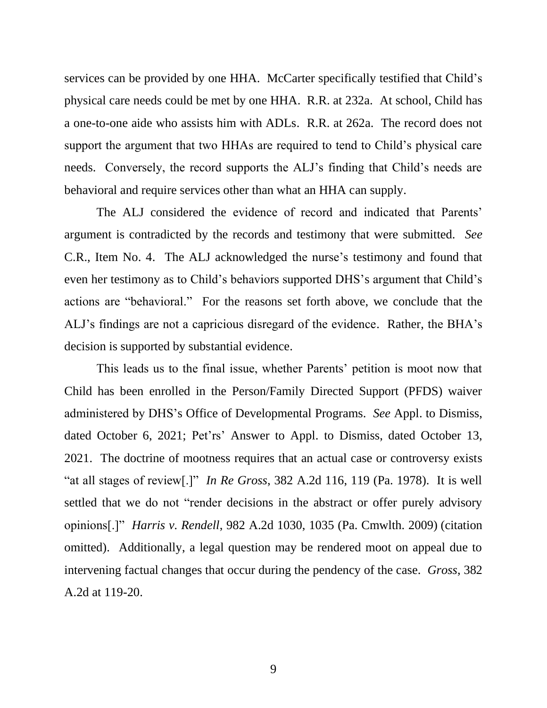services can be provided by one HHA. McCarter specifically testified that Child's physical care needs could be met by one HHA. R.R. at 232a. At school, Child has a one-to-one aide who assists him with ADLs. R.R. at 262a. The record does not support the argument that two HHAs are required to tend to Child's physical care needs. Conversely, the record supports the ALJ's finding that Child's needs are behavioral and require services other than what an HHA can supply.

The ALJ considered the evidence of record and indicated that Parents' argument is contradicted by the records and testimony that were submitted. *See* C.R., Item No. 4. The ALJ acknowledged the nurse's testimony and found that even her testimony as to Child's behaviors supported DHS's argument that Child's actions are "behavioral." For the reasons set forth above, we conclude that the ALJ's findings are not a capricious disregard of the evidence. Rather, the BHA's decision is supported by substantial evidence.

This leads us to the final issue, whether Parents' petition is moot now that Child has been enrolled in the Person/Family Directed Support (PFDS) waiver administered by DHS's Office of Developmental Programs. *See* Appl. to Dismiss, dated October 6, 2021; Pet'rs' Answer to Appl. to Dismiss, dated October 13, 2021. The doctrine of mootness requires that an actual case or controversy exists "at all stages of review[.]" *In Re Gross*, 382 A.2d 116, 119 (Pa. 1978). It is well settled that we do not "render decisions in the abstract or offer purely advisory opinions[.]" *Harris v. Rendell*, 982 A.2d 1030, 1035 (Pa. [Cmwlth.](https://1.next.westlaw.com/Link/Document/FullText?findType=Y&serNum=2020147698&pubNum=0000162&originatingDoc=I9990b1306d8411ec80a0dd05b5817251&refType=RP&fi=co_pp_sp_162_1035&originationContext=document&transitionType=DocumentItem&ppcid=2cf85c7fd1c744f3a10b7590a4358bf4&contextData=(sc.Search)#co_pp_sp_162_1035) 2009) (citation omitted). Additionally, a legal question may be rendered moot on appeal due to intervening factual changes that occur during the pendency of the case. *Gross*, 382 A.2d at 119-20.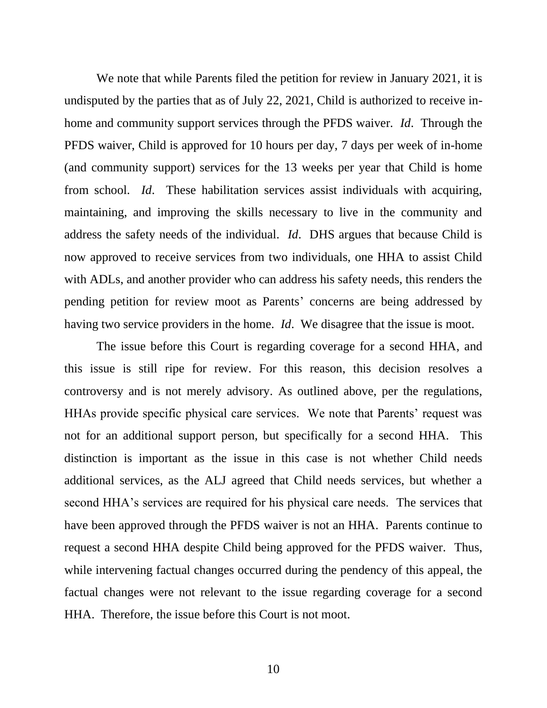We note that while Parents filed the petition for review in January 2021, it is undisputed by the parties that as of July 22, 2021, Child is authorized to receive inhome and community support services through the PFDS waiver. *Id*. Through the PFDS waiver, Child is approved for 10 hours per day, 7 days per week of in-home (and community support) services for the 13 weeks per year that Child is home from school. *Id*. These habilitation services assist individuals with acquiring, maintaining, and improving the skills necessary to live in the community and address the safety needs of the individual. *Id*. DHS argues that because Child is now approved to receive services from two individuals, one HHA to assist Child with ADLs, and another provider who can address his safety needs, this renders the pending petition for review moot as Parents' concerns are being addressed by having two service providers in the home. *Id*. We disagree that the issue is moot.

The issue before this Court is regarding coverage for a second HHA, and this issue is still ripe for review. For this reason, this decision resolves a controversy and is not merely advisory. As outlined above, per the regulations, HHAs provide specific physical care services. We note that Parents' request was not for an additional support person, but specifically for a second HHA. This distinction is important as the issue in this case is not whether Child needs additional services, as the ALJ agreed that Child needs services, but whether a second HHA's services are required for his physical care needs. The services that have been approved through the PFDS waiver is not an HHA. Parents continue to request a second HHA despite Child being approved for the PFDS waiver. Thus, while intervening factual changes occurred during the pendency of this appeal, the factual changes were not relevant to the issue regarding coverage for a second HHA. Therefore, the issue before this Court is not moot.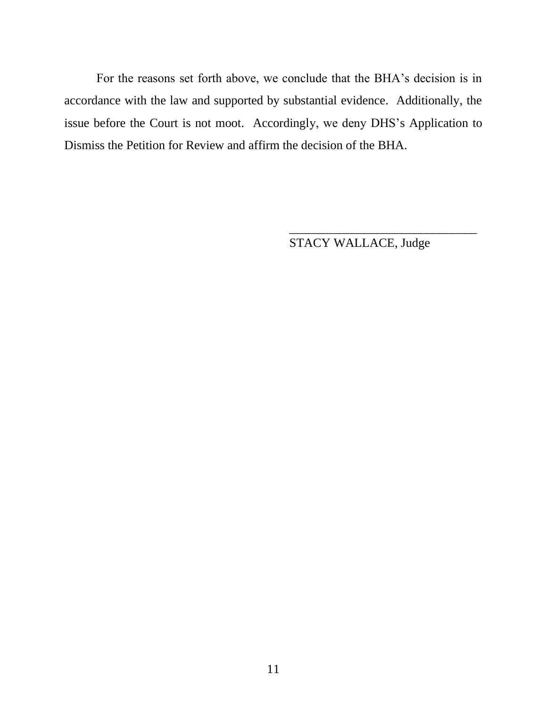For the reasons set forth above, we conclude that the BHA's decision is in accordance with the law and supported by substantial evidence. Additionally, the issue before the Court is not moot. Accordingly, we deny DHS's Application to Dismiss the Petition for Review and affirm the decision of the BHA.

STACY WALLACE, Judge

\_\_\_\_\_\_\_\_\_\_\_\_\_\_\_\_\_\_\_\_\_\_\_\_\_\_\_\_\_\_